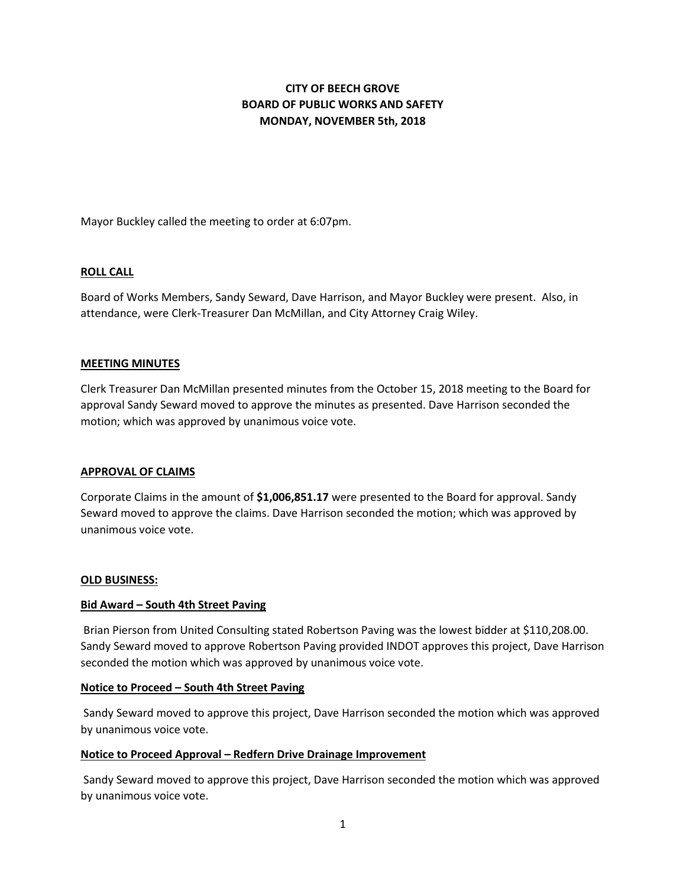# **CITY OF BEECH GROVE BOARD OF PUBLIC WORKS AND SAFETY MONDAY, NOVEMBER 5th, 2018**

Mayor Buckley called the meeting to order at 6:07pm.

## **ROLL CALL**

Board of Works Members, Sandy Seward, Dave Harrison, and Mayor Buckley were present. Also, in attendance, were Clerk-Treasurer Dan McMillan, and City Attorney Craig Wiley.

## **MEETING MINUTES**

Clerk Treasurer Dan McMillan presented minutes from the October 15, 2018 meeting to the Board for approval Sandy Seward moved to approve the minutes as presented. Dave Harrison seconded the motion; which was approved by unanimous voice vote.

## **APPROVAL OF CLAIMS**

Corporate Claims in the amount of **\$1,006,851.17** were presented to the Board for approval. Sandy Seward moved to approve the claims. Dave Harrison seconded the motion; which was approved by unanimous voice vote.

## **OLD BUSINESS:**

## **Bid Award – South 4th Street Paving**

Brian Pierson from United Consulting stated Robertson Paving was the lowest bidder at \$110,208.00. Sandy Seward moved to approve Robertson Paving provided INDOT approves this project, Dave Harrison seconded the motion which was approved by unanimous voice vote.

## **Notice to Proceed – South 4th Street Paving**

Sandy Seward moved to approve this project, Dave Harrison seconded the motion which was approved by unanimous voice vote.

# **Notice to Proceed Approval – Redfern Drive Drainage Improvement**

Sandy Seward moved to approve this project, Dave Harrison seconded the motion which was approved by unanimous voice vote.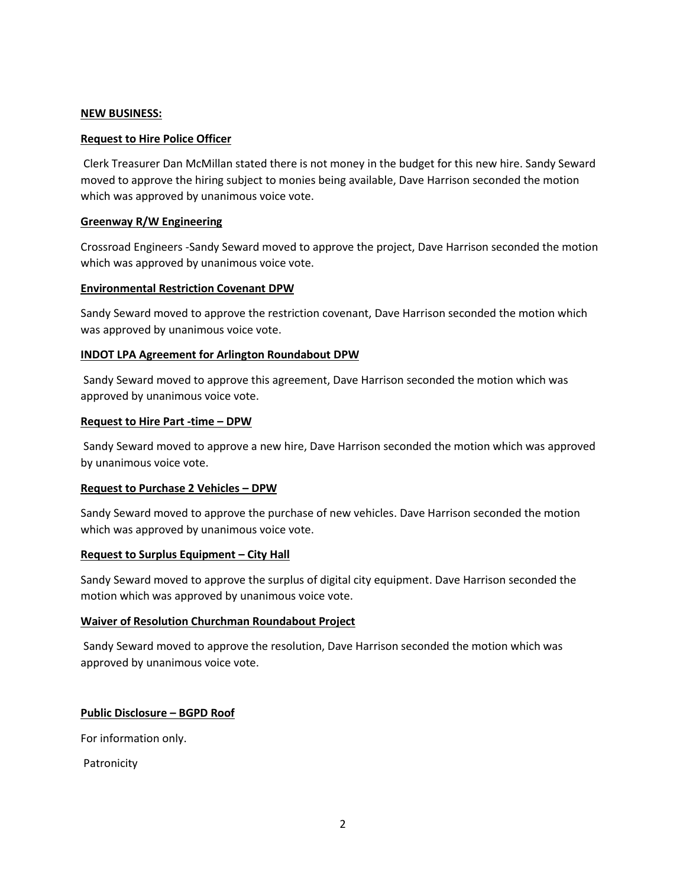## **NEW BUSINESS:**

## **Request to Hire Police Officer**

Clerk Treasurer Dan McMillan stated there is not money in the budget for this new hire. Sandy Seward moved to approve the hiring subject to monies being available, Dave Harrison seconded the motion which was approved by unanimous voice vote.

## **Greenway R/W Engineering**

Crossroad Engineers -Sandy Seward moved to approve the project, Dave Harrison seconded the motion which was approved by unanimous voice vote.

## **Environmental Restriction Covenant DPW**

Sandy Seward moved to approve the restriction covenant, Dave Harrison seconded the motion which was approved by unanimous voice vote.

## **INDOT LPA Agreement for Arlington Roundabout DPW**

Sandy Seward moved to approve this agreement, Dave Harrison seconded the motion which was approved by unanimous voice vote.

## **Request to Hire Part -time – DPW**

Sandy Seward moved to approve a new hire, Dave Harrison seconded the motion which was approved by unanimous voice vote.

## **Request to Purchase 2 Vehicles – DPW**

Sandy Seward moved to approve the purchase of new vehicles. Dave Harrison seconded the motion which was approved by unanimous voice vote.

## **Request to Surplus Equipment – City Hall**

Sandy Seward moved to approve the surplus of digital city equipment. Dave Harrison seconded the motion which was approved by unanimous voice vote.

## **Waiver of Resolution Churchman Roundabout Project**

Sandy Seward moved to approve the resolution, Dave Harrison seconded the motion which was approved by unanimous voice vote.

# **Public Disclosure – BGPD Roof**

For information only.

Patronicity